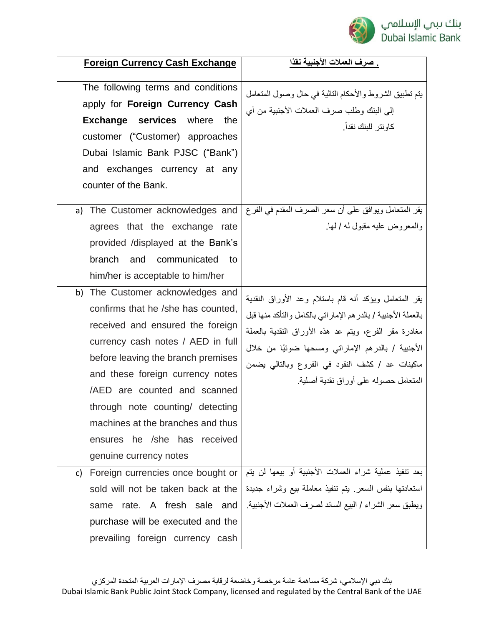

| <b>Foreign Currency Cash Exchange</b>                                                                                                                                                                                                                                                                                                                                                        | <u>. صرف العملات الأجنبية نقدًا</u>                                                                                                                                                                                                                                                                                                |
|----------------------------------------------------------------------------------------------------------------------------------------------------------------------------------------------------------------------------------------------------------------------------------------------------------------------------------------------------------------------------------------------|------------------------------------------------------------------------------------------------------------------------------------------------------------------------------------------------------------------------------------------------------------------------------------------------------------------------------------|
| The following terms and conditions<br>apply for Foreign Currency Cash<br><b>Exchange services</b><br>where<br>the<br>customer ("Customer) approaches<br>Dubai Islamic Bank PJSC ("Bank")<br>and exchanges currency at any<br>counter of the Bank.                                                                                                                                            | يتم تطبيق الشروط والأحكام التالية في حال وصول المتعامل<br>إلى البنك وطلب صرف العملات الأجنبية من أي<br>كاو نتر   للبنك نقداً ـ                                                                                                                                                                                                     |
| The Customer acknowledges and<br>a)<br>agrees that the exchange rate<br>provided /displayed at the Bank's<br>branch<br>and communicated<br>to<br>him/her is acceptable to him/her                                                                                                                                                                                                            | يقر المتعامل ويوافق على أن سعر الصرف المقدم في الفرع<br>والمعروض عليه مقبول له / لما                                                                                                                                                                                                                                               |
| b) The Customer acknowledges and<br>confirms that he /she has counted,<br>received and ensured the foreign<br>currency cash notes / AED in full<br>before leaving the branch premises<br>and these foreign currency notes<br>/AED are counted and scanned<br>through note counting/ detecting<br>machines at the branches and thus<br>ensures he /she has received<br>genuine currency notes | يقر المتعامل ويؤكد أنه قام باستلام وعد الأوراق النقدية<br>بالعملة الأجنبية / بالدر هم الإماراتي بالكامل والتأكد منها قبل<br>مغادرة مقر الفرع، ويتم عد هذه الأوراق النقدية بالعملة<br>الأجنبية / بالدرهم الإماراتي ومسحها ضوئيًا من خلال<br>ماكينات عد / كشف النقود في الفروع وبالتالي يضمن<br>المتعامل حصوله على أوراق نقدية أصلية |
| Foreign currencies once bought or<br>C)<br>sold will not be taken back at the<br>same rate. A fresh sale and<br>purchase will be executed and the<br>prevailing foreign currency cash                                                                                                                                                                                                        | بعد تنفيذ عملية شراء العملات الأجنبية أو بيعها لن يتم<br>استعادتها بنفس السعر بيتم تنفيذ معاملة بيع وشراء جديدة<br>ويطبق سعر الشراء / البيع السائد لصرف العملات الأجنبية                                                                                                                                                           |